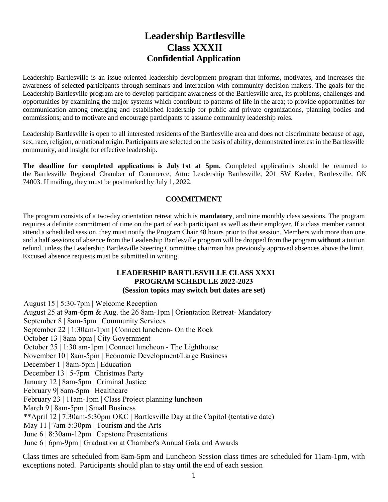# **Leadership Bartlesville Class XXXII Confidential Application**

Leadership Bartlesville is an issue-oriented leadership development program that informs, motivates, and increases the awareness of selected participants through seminars and interaction with community decision makers. The goals for the Leadership Bartlesville program are to develop participant awareness of the Bartlesville area, its problems, challenges and opportunities by examining the major systems which contribute to patterns of life in the area; to provide opportunities for communication among emerging and established leadership for public and private organizations, planning bodies and commissions; and to motivate and encourage participants to assume community leadership roles.

Leadership Bartlesville is open to all interested residents of the Bartlesville area and does not discriminate because of age, sex, race, religion, or national origin. Participants are selected on the basis of ability, demonstrated interest in the Bartlesville community, and insight for effective leadership.

**The deadline for completed applications is July 1st at 5pm.** Completed applications should be returned to the Bartlesville Regional Chamber of Commerce, Attn: Leadership Bartlesville, 201 SW Keeler, Bartlesville, OK 74003. If mailing, they must be postmarked by July 1, 2022.

# **COMMITMENT**

The program consists of a two-day orientation retreat which is **mandatory**, and nine monthly class sessions. The program requires a definite commitment of time on the part of each participant as well as their employer. If a class member cannot attend a scheduled session, they must notify the Program Chair 48 hours prior to that session. Members with more than one and a half sessions of absence from the Leadership Bartlesville program will be dropped from the program **without** a tuition refund, unless the Leadership Bartlesville Steering Committee chairman has previously approved absences above the limit. Excused absence requests must be submitted in writing.

## **LEADERSHIP BARTLESVILLE CLASS XXXI PROGRAM SCHEDULE 2022-2023 (Session topics may switch but dates are set)**

August 15 | 5:30-7pm | Welcome Reception

August 25 at 9am-6pm & Aug. the 26 8am-1pm | Orientation Retreat- Mandatory

September 8 | 8am-5pm | Community Services

September 22 | 1:30am-1pm | Connect luncheon- On the Rock

October 13 | 8am-5pm | City Government

October 25 | 1:30 am-1pm | Connect luncheon - The Lighthouse

November 10 | 8am-5pm | Economic Development/Large Business

December 1 | 8am-5pm | Education

December 13 | 5-7pm | Christmas Party

January 12 | 8am-5pm | Criminal Justice

February 9| 8am-5pm | Healthcare

February 23 | 11am-1pm | Class Project planning luncheon

March 9 | 8am-5pm | Small Business

\*\*April 12 | 7:30am-5:30pm OKC | Bartlesville Day at the Capitol (tentative date)

May 11 | 7am-5:30pm | Tourism and the Arts

June 6 | 8:30am-12pm | Capstone Presentations

June 6 | 6pm-9pm | Graduation at Chamber's Annual Gala and Awards

Class times are scheduled from 8am-5pm and Luncheon Session class times are scheduled for 11am-1pm, with exceptions noted. Participants should plan to stay until the end of each session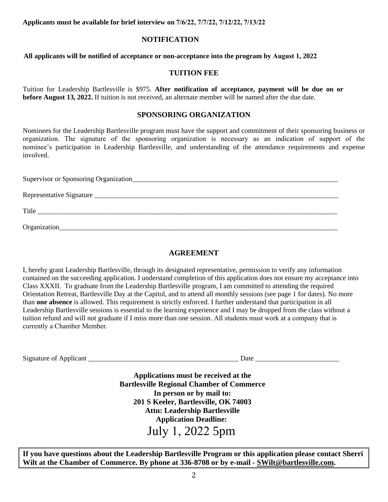**Applicants must be available for brief interview on 7/6/22, 7/7/22, 7/12/22, 7/13/22**

# **NOTIFICATION**

**All applicants will be notified of acceptance or non-acceptance into the program by August 1, 2022**

## **TUITION FEE**

Tuition for Leadership Bartlesville is \$975. **After notification of acceptance, payment will be due on or before August 13, 2022.** If tuition is not received, an alternate member will be named after the due date.

## **SPONSORING ORGANIZATION**

Nominees for the Leadership Bartlesville program must have the support and commitment of their sponsoring business or organization. The signature of the sponsoring organization is necessary as an indication of support of the nominee's participation in Leadership Bartlesville, and understanding of the attendance requirements and expense involved.

| Supervisor or Sponsoring Organization |
|---------------------------------------|
|                                       |
| Title                                 |
| Organization_                         |

# **AGREEMENT**

I, hereby grant Leadership Bartlesville, through its designated representative, permission to verify any information contained on the succeeding application. I understand completion of this application does not ensure my acceptance into Class XXXII. To graduate from the Leadership Bartlesville program, I am committed to attending the required Orientation Retreat, Bartlesville Day at the Capitol, and to attend all monthly sessions (see page 1 for dates). No more than **one absence** is allowed. This requirement is strictly enforced. I further understand that participation in all Leadership Bartlesville sessions is essential to the learning experience and I may be dropped from the class without a tuition refund and will not graduate if I miss more than one session. All students must work at a company that is currently a Chamber Member.

| Signature of |      |
|--------------|------|
| Applicant    | Date |
|              |      |

**Applications must be received at the Bartlesville Regional Chamber of Commerce In person or by mail to: 201 S Keeler, Bartlesville, OK 74003 Attn: Leadership Bartlesville Application Deadline:**  July 1, 2022 5pm

**If you have questions about the Leadership Bartlesville Program or this application please contact Sherri Wilt at the Chamber of Commerce. By phone at 336-8708 or by e-mail - [SWilt@bartlesville.com.](mailto:SWilt@bartlesville.com)**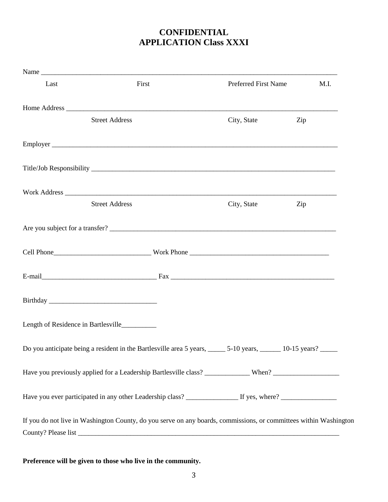# **CONFIDENTIAL APPLICATION Class XXXI**

| Last | First                                                                                                             | Preferred First Name | M.I. |
|------|-------------------------------------------------------------------------------------------------------------------|----------------------|------|
|      |                                                                                                                   |                      |      |
|      | <b>Street Address</b>                                                                                             | City, State          | Zip  |
|      |                                                                                                                   |                      |      |
|      |                                                                                                                   |                      |      |
|      |                                                                                                                   |                      |      |
|      | <b>Street Address</b>                                                                                             | City, State          | Zip  |
|      |                                                                                                                   |                      |      |
|      |                                                                                                                   |                      |      |
|      |                                                                                                                   |                      |      |
|      |                                                                                                                   |                      |      |
|      | Length of Residence in Bartlesville_________                                                                      |                      |      |
|      | Do you anticipate being a resident in the Bartlesville area 5 years, ______ 5-10 years, ______ 10-15 years? _____ |                      |      |
|      |                                                                                                                   |                      |      |
|      |                                                                                                                   |                      |      |
|      | If you do not live in Washington County, do you serve on any boards, commissions, or committees within Washington |                      |      |
|      |                                                                                                                   |                      |      |

**Preference will be given to those who live in the community.**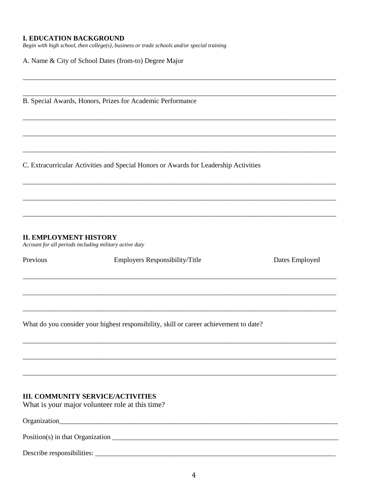#### **I. EDUCATION BACKGROUND**

Begin with high school, then college(s), business or trade schools and/or special training

A. Name & City of School Dates (from-to) Degree Major

B. Special Awards, Honors, Prizes for Academic Performance

C. Extracurricular Activities and Special Honors or Awards for Leadership Activities

<u> 1989 - Johann Harry Harry Harry Harry Harry Harry Harry Harry Harry Harry Harry Harry Harry Harry Harry Harry</u>

#### **II. EMPLOYMENT HISTORY**

Account for all periods including military active duty

Previous

Employers Responsibility/Title

Dates Employed

What do you consider your highest responsibility, skill or career achievement to date?

### **III. COMMUNITY SERVICE/ACTIVITIES**

What is your major volunteer role at this time?

Organization\_\_\_\_\_\_\_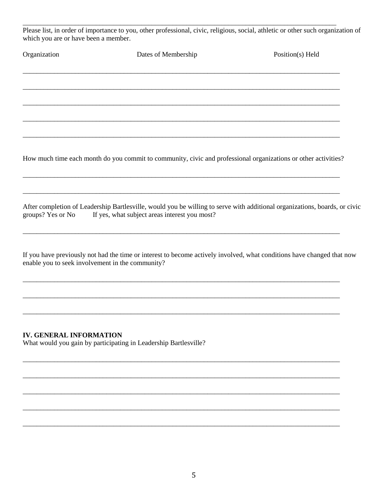Please list, in order of importance to you, other professional, civic, religious, social, athletic or other such organization of which you are or have been a member.

| Organization | Dates of Membership                                                                                            | Position(s) Held |
|--------------|----------------------------------------------------------------------------------------------------------------|------------------|
|              |                                                                                                                |                  |
|              |                                                                                                                |                  |
|              |                                                                                                                |                  |
|              |                                                                                                                |                  |
|              |                                                                                                                |                  |
|              | How much time each month do you commit to community, civic and professional organizations or other activities? |                  |
|              |                                                                                                                |                  |

After completion of Leadership Bartlesville, would you be willing to serve with additional organizations, boards, or civic If yes, what subject areas interest you most? groups? Yes or No

If you have previously not had the time or interest to become actively involved, what conditions have changed that now enable you to seek involvement in the community?

## **IV. GENERAL INFORMATION**

What would you gain by participating in Leadership Bartlesville?